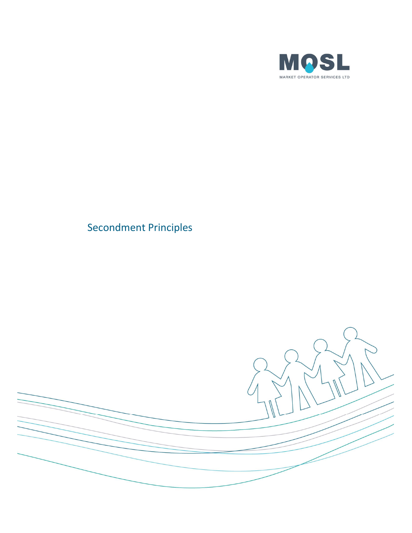

## Secondment Principles